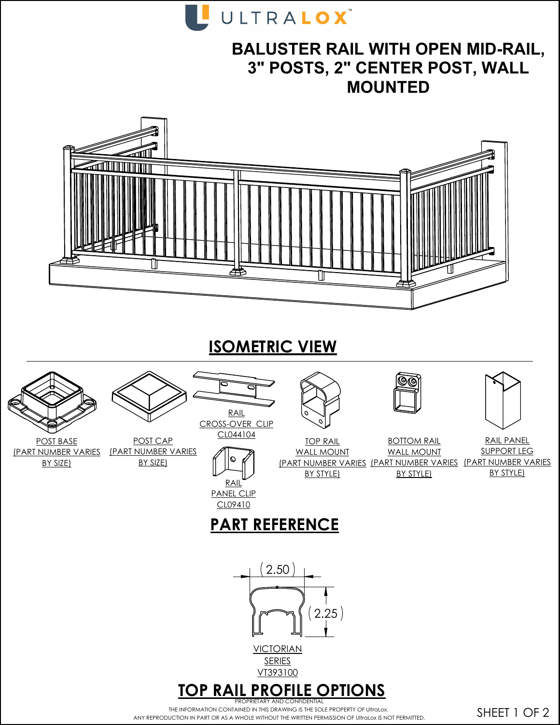

## **BALUSTER RAIL WITH OPEN MID-RAIL, 3" POSTS, 2" CENTER POST, WALL MOUNTED**



**ISOMETRIC VIEW**



THE INFORMATION CONTAINED IN THIS DRAWING IS THE SOLE PROPERTY OF UltraLox. ANY REPRODUCTION IN PART OR AS A WHOLE WITHOUT THE WRITTEN PERMISSION OF UltraLox IS NOT PERMITTED.

SHEET 1 OF 2